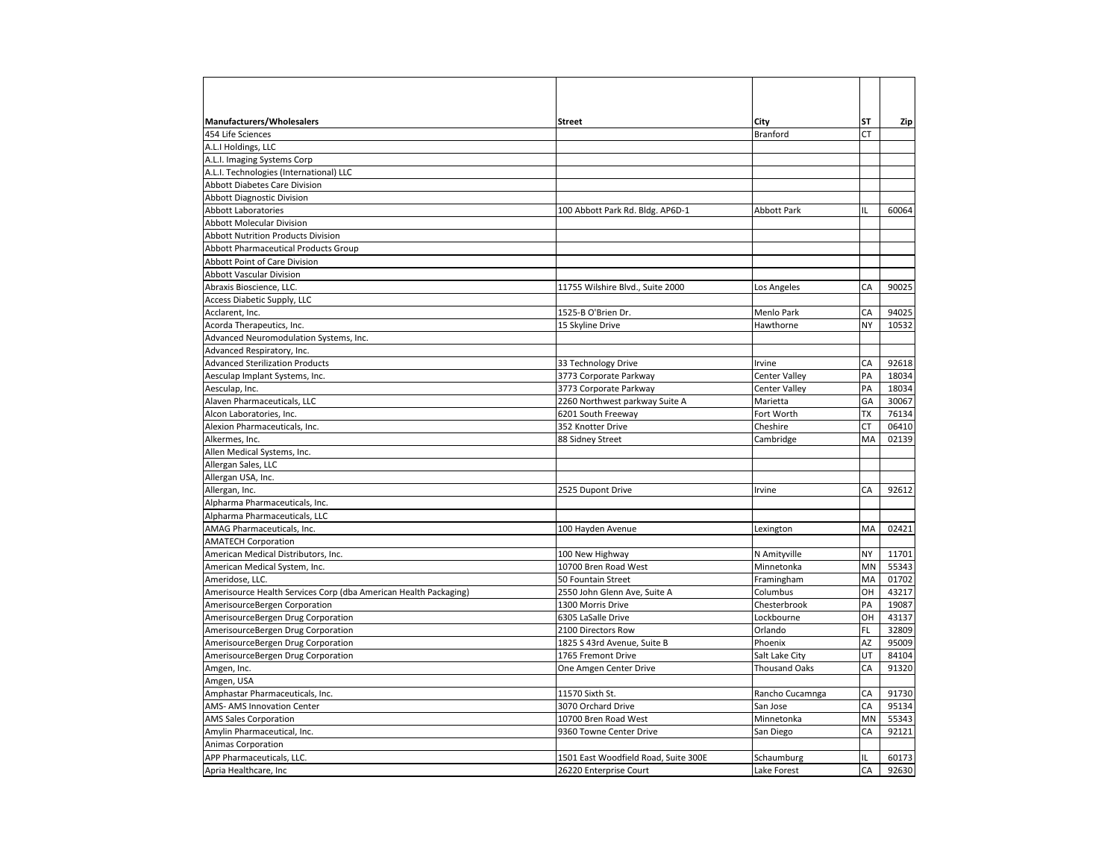| <b>Manufacturers/Wholesalers</b><br>454 Life Sciences            | Street                               | City<br>Branford     | SΤ<br>СT  | Zip   |
|------------------------------------------------------------------|--------------------------------------|----------------------|-----------|-------|
| A.L.I Holdings, LLC                                              |                                      |                      |           |       |
| A.L.I. Imaging Systems Corp                                      |                                      |                      |           |       |
| A.L.I. Technologies (International) LLC                          |                                      |                      |           |       |
| <b>Abbott Diabetes Care Division</b>                             |                                      |                      |           |       |
| <b>Abbott Diagnostic Division</b>                                |                                      |                      |           |       |
|                                                                  |                                      |                      | IL        |       |
| <b>Abbott Laboratories</b>                                       | 100 Abbott Park Rd. Bldg. AP6D-1     | <b>Abbott Park</b>   |           | 60064 |
| <b>Abbott Molecular Division</b>                                 |                                      |                      |           |       |
| <b>Abbott Nutrition Products Division</b>                        |                                      |                      |           |       |
| Abbott Pharmaceutical Products Group                             |                                      |                      |           |       |
| Abbott Point of Care Division                                    |                                      |                      |           |       |
| <b>Abbott Vascular Division</b>                                  |                                      |                      |           |       |
| Abraxis Bioscience, LLC.                                         | 11755 Wilshire Blvd., Suite 2000     | Los Angeles          | CA        | 90025 |
| Access Diabetic Supply, LLC                                      |                                      |                      |           |       |
| Acclarent, Inc.                                                  | 1525-B O'Brien Dr.                   | Menlo Park           | CA        | 94025 |
| Acorda Therapeutics, Inc.                                        | 15 Skyline Drive                     | Hawthorne            | <b>NY</b> | 10532 |
| Advanced Neuromodulation Systems, Inc.                           |                                      |                      |           |       |
| Advanced Respiratory, Inc.                                       |                                      |                      |           |       |
| <b>Advanced Sterilization Products</b>                           | 33 Technology Drive                  | Irvine               | CA        | 92618 |
| Aesculap Implant Systems, Inc.                                   | 3773 Corporate Parkway               | <b>Center Valley</b> | PA        | 18034 |
| Aesculap, Inc.                                                   | 3773 Corporate Parkway               | Center Valley        | PA        | 18034 |
| Alaven Pharmaceuticals, LLC                                      | 2260 Northwest parkway Suite A       | Marietta             | GA        | 30067 |
| Alcon Laboratories, Inc.                                         | 6201 South Freeway                   | Fort Worth           | <b>TX</b> | 76134 |
| Alexion Pharmaceuticals, Inc.                                    | 352 Knotter Drive                    | Cheshire             | CT        | 06410 |
| Alkermes, Inc.                                                   | 88 Sidney Street                     | Cambridge            | MA        | 02139 |
| Allen Medical Systems, Inc.                                      |                                      |                      |           |       |
| Allergan Sales, LLC                                              |                                      |                      |           |       |
| Allergan USA, Inc.                                               |                                      |                      |           |       |
| Allergan, Inc.                                                   | 2525 Dupont Drive                    | Irvine               | CA        | 92612 |
| Alpharma Pharmaceuticals, Inc.                                   |                                      |                      |           |       |
| Alpharma Pharmaceuticals, LLC                                    |                                      |                      |           |       |
| AMAG Pharmaceuticals, Inc.                                       | 100 Hayden Avenue                    | Lexington            | MA        | 02421 |
| <b>AMATECH Corporation</b>                                       |                                      |                      |           |       |
| American Medical Distributors, Inc.                              | 100 New Highway                      | N Amityville         | <b>NY</b> | 11701 |
| American Medical System, Inc.                                    | 10700 Bren Road West                 | Minnetonka           | MN        | 55343 |
| Ameridose, LLC.                                                  | 50 Fountain Street                   | Framingham           | MA        | 01702 |
| Amerisource Health Services Corp (dba American Health Packaging) | 2550 John Glenn Ave, Suite A         | Columbus             | OH        | 43217 |
| AmerisourceBergen Corporation                                    | 1300 Morris Drive                    | Chesterbrook         | PA        | 19087 |
| AmerisourceBergen Drug Corporation                               | 6305 LaSalle Drive                   | Lockbourne           | OH        | 43137 |
| AmerisourceBergen Drug Corporation                               | 2100 Directors Row                   | Orlando              | <b>FL</b> | 32809 |
| AmerisourceBergen Drug Corporation                               | 1825 S 43rd Avenue, Suite B          | Phoenix              | AZ        | 95009 |
| AmerisourceBergen Drug Corporation                               | 1765 Fremont Drive                   | Salt Lake City       | UT        | 84104 |
| Amgen, Inc.                                                      | One Amgen Center Drive               | <b>Thousand Oaks</b> | CA        | 91320 |
|                                                                  |                                      |                      |           |       |
| Amgen, USA                                                       |                                      |                      |           |       |
| Amphastar Pharmaceuticals, Inc.                                  | 11570 Sixth St.                      | Rancho Cucamnga      | CA        | 91730 |
| AMS- AMS Innovation Center                                       | 3070 Orchard Drive                   | San Jose             | CA        | 95134 |
| <b>AMS Sales Corporation</b>                                     | 10700 Bren Road West                 | Minnetonka           | MN        | 55343 |
| Amylin Pharmaceutical, Inc.                                      | 9360 Towne Center Drive              | San Diego            | CA        | 92121 |
| Animas Corporation                                               |                                      |                      |           |       |
| APP Pharmaceuticals, LLC.                                        | 1501 East Woodfield Road, Suite 300E | Schaumburg           | IL        | 60173 |
| Apria Healthcare, Inc                                            | 26220 Enterprise Court               | Lake Forest          | CA        | 92630 |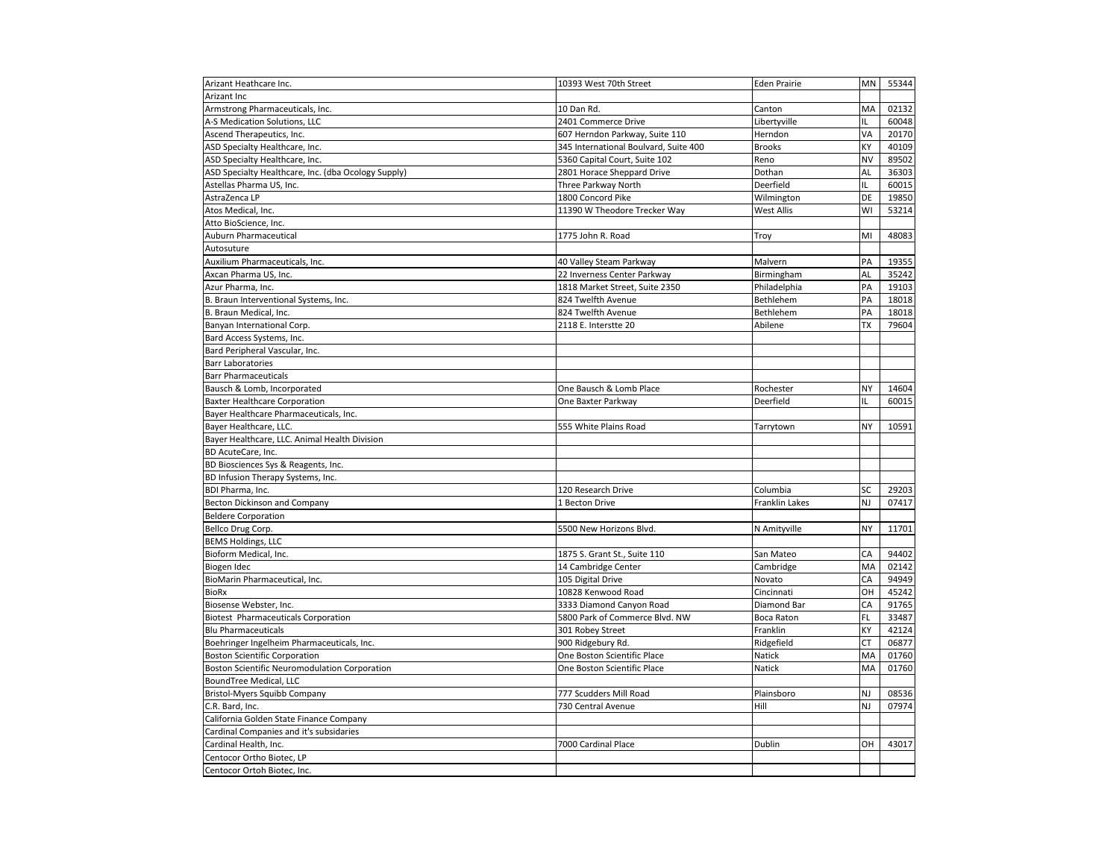| Arizant Heathcare Inc.                               | 10393 West 70th Street                | <b>Eden Prairie</b> | MN             | 55344 |
|------------------------------------------------------|---------------------------------------|---------------------|----------------|-------|
| Arizant Inc                                          |                                       |                     |                |       |
| Armstrong Pharmaceuticals, Inc.                      | 10 Dan Rd.                            | Canton              | MA             | 02132 |
| A-S Medication Solutions, LLC                        | 2401 Commerce Drive                   | Libertyville        | IL.            | 60048 |
| Ascend Therapeutics, Inc.                            | 607 Herndon Parkway, Suite 110        | Herndon             | VA             | 20170 |
| ASD Specialty Healthcare, Inc.                       | 345 International Boulvard, Suite 400 | <b>Brooks</b>       | KY             | 40109 |
| ASD Specialty Healthcare, Inc.                       | 5360 Capital Court, Suite 102         | Reno                | <b>NV</b>      | 89502 |
| ASD Specialty Healthcare, Inc. (dba Ocology Supply)  | 2801 Horace Sheppard Drive            | Dothan              | AL             | 36303 |
| Astellas Pharma US, Inc.                             | Three Parkway North                   | Deerfield           | IL             | 60015 |
| AstraZenca LP                                        | 1800 Concord Pike                     | Wilmington          | DE             | 19850 |
| Atos Medical, Inc.                                   | 11390 W Theodore Trecker Way          | <b>West Allis</b>   | WI             | 53214 |
| Atto BioScience, Inc.                                |                                       |                     |                |       |
| Auburn Pharmaceutical                                | 1775 John R. Road                     | Troy                | MI             | 48083 |
| Autosuture                                           |                                       |                     |                |       |
| Auxilium Pharmaceuticals, Inc.                       | 40 Valley Steam Parkway               | Malvern             | PA             | 19355 |
| Axcan Pharma US, Inc.                                | 22 Inverness Center Parkway           | Birmingham          | AL             | 35242 |
| Azur Pharma, Inc.                                    | 1818 Market Street, Suite 2350        | Philadelphia        | PA             | 19103 |
| B. Braun Interventional Systems, Inc.                | 824 Twelfth Avenue                    | Bethlehem           | PA             | 18018 |
| B. Braun Medical, Inc.                               | 824 Twelfth Avenue                    | Bethlehem           | PA             | 18018 |
| Banyan International Corp.                           | 2118 E. Interstte 20                  | Abilene             | TX             | 79604 |
| Bard Access Systems, Inc.                            |                                       |                     |                |       |
| Bard Peripheral Vascular, Inc.                       |                                       |                     |                |       |
| <b>Barr Laboratories</b>                             |                                       |                     |                |       |
| <b>Barr Pharmaceuticals</b>                          |                                       |                     |                |       |
| Bausch & Lomb, Incorporated                          |                                       | Rochester           | <b>NY</b>      | 14604 |
|                                                      | One Bausch & Lomb Place               |                     |                |       |
| <b>Baxter Healthcare Corporation</b>                 | One Baxter Parkway                    | Deerfield           | IL.            | 60015 |
| Bayer Healthcare Pharmaceuticals, Inc.               |                                       |                     | <b>NY</b>      |       |
| Bayer Healthcare, LLC.                               | 555 White Plains Road                 | Tarrytown           |                | 10591 |
| Bayer Healthcare, LLC. Animal Health Division        |                                       |                     |                |       |
| BD AcuteCare, Inc.                                   |                                       |                     |                |       |
| BD Biosciences Sys & Reagents, Inc.                  |                                       |                     |                |       |
| BD Infusion Therapy Systems, Inc.                    |                                       |                     |                |       |
| BDI Pharma, Inc.                                     | 120 Research Drive                    | Columbia            | SC             | 29203 |
| <b>Becton Dickinson and Company</b>                  | 1 Becton Drive                        | Franklin Lakes      | NJ             | 07417 |
| <b>Beldere Corporation</b>                           |                                       |                     |                |       |
| Bellco Drug Corp.                                    | 5500 New Horizons Blvd.               | N Amityville        | <b>NY</b>      | 11701 |
| <b>BEMS Holdings, LLC</b>                            |                                       |                     |                |       |
| Bioform Medical, Inc.                                | 1875 S. Grant St., Suite 110          | San Mateo           | CA             | 94402 |
| Biogen Idec                                          | 14 Cambridge Center                   | Cambridge           | MA             | 02142 |
| BioMarin Pharmaceutical, Inc.                        | 105 Digital Drive                     | Novato              | CA             | 94949 |
| <b>BioRx</b>                                         | 10828 Kenwood Road                    | Cincinnati          | OH             | 45242 |
| Biosense Webster, Inc.                               | 3333 Diamond Canyon Road              | Diamond Bar         | CA             | 91765 |
| <b>Biotest Pharmaceuticals Corporation</b>           | 5800 Park of Commerce Blvd. NW        | <b>Boca Raton</b>   | FL.            | 33487 |
| <b>Blu Pharmaceuticals</b>                           | 301 Robey Street                      | Franklin            | KY             | 42124 |
| Boehringer Ingelheim Pharmaceuticals, Inc.           | 900 Ridgebury Rd.                     | Ridgefield          | <b>CT</b>      | 06877 |
| <b>Boston Scientific Corporation</b>                 | One Boston Scientific Place           | Natick              | MA             | 01760 |
| <b>Boston Scientific Neuromodulation Corporation</b> | One Boston Scientific Place           | <b>Natick</b>       | MA             | 01760 |
| <b>BoundTree Medical, LLC</b>                        |                                       |                     |                |       |
| Bristol-Myers Squibb Company                         | 777 Scudders Mill Road                | Plainsboro          | NJ             | 08536 |
| C.R. Bard, Inc.                                      | 730 Central Avenue                    | Hill                | N <sub>J</sub> | 07974 |
| California Golden State Finance Company              |                                       |                     |                |       |
| Cardinal Companies and it's subsidaries              |                                       |                     |                |       |
| Cardinal Health, Inc.                                | 7000 Cardinal Place                   | Dublin              | OH             | 43017 |
| Centocor Ortho Biotec. LP                            |                                       |                     |                |       |
| Centocor Ortoh Biotec, Inc.                          |                                       |                     |                |       |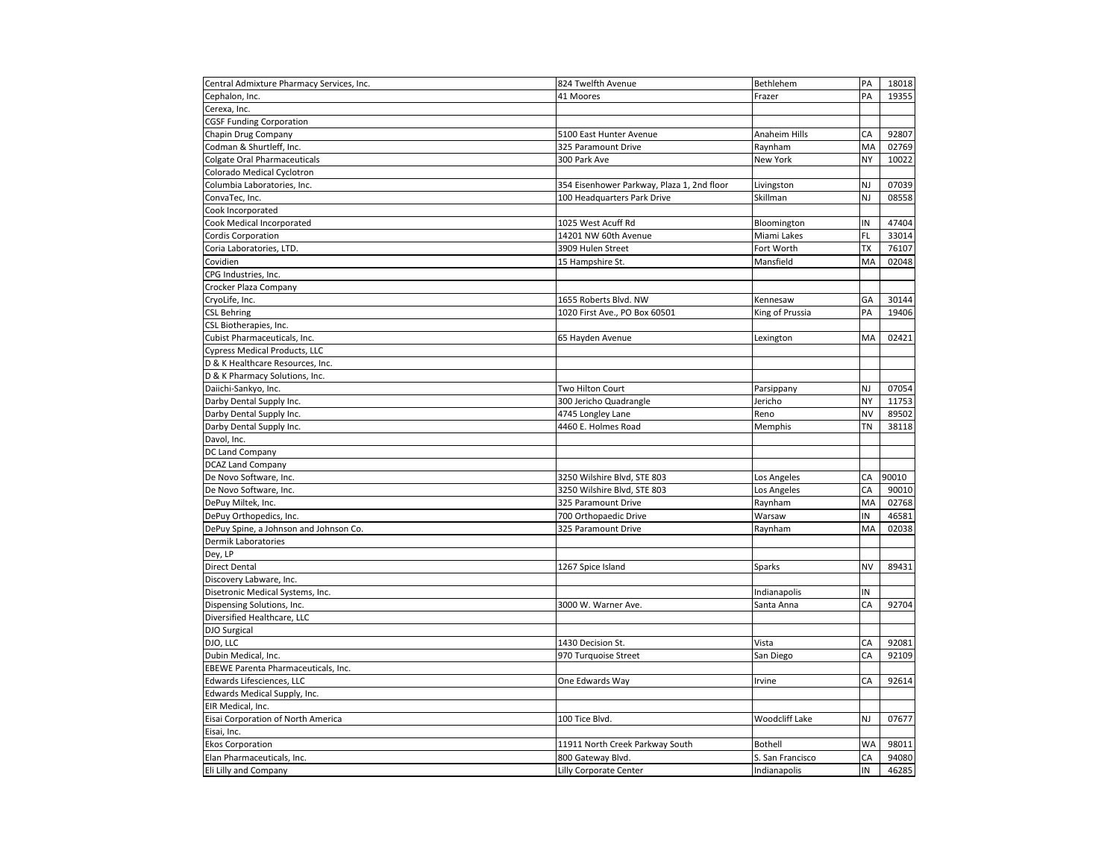| Central Admixture Pharmacy Services, Inc. | 824 Twelfth Avenue                         | Bethlehem        | PA        | 18018 |
|-------------------------------------------|--------------------------------------------|------------------|-----------|-------|
| Cephalon, Inc.                            | 41 Moores                                  | Frazer           | PA        | 19355 |
| Cerexa, Inc.                              |                                            |                  |           |       |
| <b>CGSF Funding Corporation</b>           |                                            |                  |           |       |
| Chapin Drug Company                       | 5100 East Hunter Avenue                    | Anaheim Hills    | CA        | 92807 |
| Codman & Shurtleff, Inc.                  | 325 Paramount Drive                        | Raynham          | MA        | 02769 |
| <b>Colgate Oral Pharmaceuticals</b>       | 300 Park Ave                               | <b>New York</b>  | <b>NY</b> | 10022 |
| Colorado Medical Cyclotron                |                                            |                  |           |       |
| Columbia Laboratories, Inc.               | 354 Eisenhower Parkway, Plaza 1, 2nd floor | Livingston       | NJ        | 07039 |
| ConvaTec, Inc.                            | 100 Headquarters Park Drive                | Skillman         | NJ        | 08558 |
| Cook Incorporated                         |                                            |                  |           |       |
| Cook Medical Incorporated                 | 1025 West Acuff Rd                         | Bloomington      | IN        | 47404 |
| Cordis Corporation                        | 14201 NW 60th Avenue                       | Miami Lakes      | FL        | 33014 |
| Coria Laboratories, LTD                   | 3909 Hulen Street                          | Fort Worth       | TX        | 76107 |
| Covidien                                  | 15 Hampshire St.                           | Mansfield        | MA        | 02048 |
| CPG Industries, Inc.                      |                                            |                  |           |       |
| Crocker Plaza Company                     |                                            |                  |           |       |
| CryoLife, Inc.                            | 1655 Roberts Blvd. NW                      | Kennesaw         | GA        | 30144 |
| <b>CSL Behring</b>                        | 1020 First Ave., PO Box 60501              | King of Prussia  | PA        | 19406 |
| CSL Biotherapies, Inc.                    |                                            |                  |           |       |
| Cubist Pharmaceuticals, Inc.              | 65 Hayden Avenue                           | Lexington        | MA        | 02421 |
| <b>Cypress Medical Products, LLC</b>      |                                            |                  |           |       |
| D & K Healthcare Resources, Inc.          |                                            |                  |           |       |
| D & K Pharmacy Solutions, Inc.            |                                            |                  |           |       |
| Daiichi-Sankyo, Inc.                      | Two Hilton Court                           | Parsippany       | NJ        | 07054 |
| Darby Dental Supply Inc.                  | 300 Jericho Quadrangle                     | Jericho          | NY        | 11753 |
| Darby Dental Supply Inc.                  | 4745 Longley Lane                          | Reno             | NV        | 89502 |
| Darby Dental Supply Inc.                  | 4460 E. Holmes Road                        | Memphis          | ΤN        | 38118 |
| Davol, Inc.                               |                                            |                  |           |       |
| DC Land Company                           |                                            |                  |           |       |
| <b>DCAZ Land Company</b>                  |                                            |                  |           |       |
| De Novo Software, Inc.                    | 3250 Wilshire Blvd, STE 803                | Los Angeles      | CA        | 90010 |
| De Novo Software, Inc.                    | 3250 Wilshire Blvd, STE 803                | Los Angeles      | CA        | 90010 |
| DePuy Miltek, Inc.                        | 325 Paramount Drive                        | Raynham          | MA        | 02768 |
| DePuy Orthopedics, Inc.                   | 700 Orthopaedic Drive                      | Warsaw           | IN        | 46581 |
| DePuy Spine, a Johnson and Johnson Co.    | 325 Paramount Drive                        | Raynham          | MA        | 02038 |
| Dermik Laboratories                       |                                            |                  |           |       |
| Dey, LP                                   |                                            |                  |           |       |
| <b>Direct Dental</b>                      | 1267 Spice Island                          | Sparks           | <b>NV</b> | 89431 |
| Discovery Labware, Inc.                   |                                            |                  |           |       |
| Disetronic Medical Systems, Inc.          |                                            | Indianapolis     | IN        |       |
| Dispensing Solutions, Inc.                | 3000 W. Warner Ave.                        | Santa Anna       | CA        | 92704 |
| Diversified Healthcare, LLC               |                                            |                  |           |       |
| DJO Surgical                              |                                            |                  |           |       |
| DJO, LLC                                  | 1430 Decision St.                          | Vista            | CA        | 92081 |
| Dubin Medical, Inc.                       | 970 Turquoise Street                       | San Diego        | CA        | 92109 |
| EBEWE Parenta Pharmaceuticals, Inc.       |                                            |                  |           |       |
| Edwards Lifesciences, LLC                 | One Edwards Way                            | Irvine           | CA        | 92614 |
| Edwards Medical Supply, Inc.              |                                            |                  |           |       |
| EIR Medical, Inc.                         |                                            |                  |           |       |
| Eisai Corporation of North America        | 100 Tice Blvd.                             | Woodcliff Lake   | NJ        | 07677 |
| Eisai, Inc.                               |                                            |                  |           |       |
| <b>Ekos Corporation</b>                   | 11911 North Creek Parkway South            | <b>Bothell</b>   | <b>WA</b> | 98011 |
| Elan Pharmaceuticals, Inc.                | 800 Gateway Blvd.                          | S. San Francisco | CA        | 94080 |
| Eli Lilly and Company                     | Lilly Corporate Center                     | Indianapolis     | IN        | 46285 |
|                                           |                                            |                  |           |       |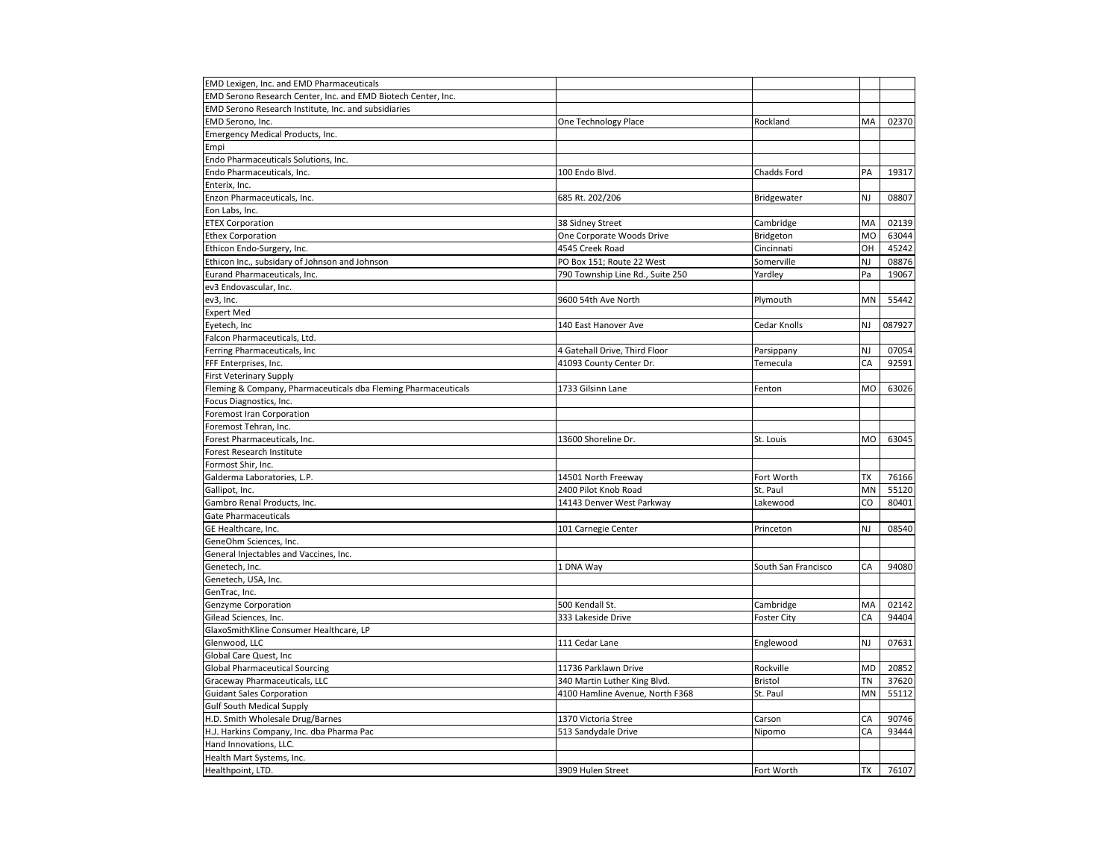| EMD Lexigen, Inc. and EMD Pharmaceuticals                      |                                  |                     |           |        |
|----------------------------------------------------------------|----------------------------------|---------------------|-----------|--------|
| EMD Serono Research Center, Inc. and EMD Biotech Center, Inc.  |                                  |                     |           |        |
| EMD Serono Research Institute, Inc. and subsidiaries           |                                  |                     |           |        |
| EMD Serono, Inc.                                               | One Technology Place             | Rockland            | MA        | 02370  |
| Emergency Medical Products, Inc.                               |                                  |                     |           |        |
| Empi                                                           |                                  |                     |           |        |
| Endo Pharmaceuticals Solutions, Inc.                           |                                  |                     |           |        |
| Endo Pharmaceuticals, Inc.                                     | 100 Endo Blvd.                   | Chadds Ford         | PA        | 19317  |
| Enterix, Inc.                                                  |                                  |                     |           |        |
| Enzon Pharmaceuticals, Inc.                                    | 685 Rt. 202/206                  | Bridgewater         | NJ        | 08807  |
| Eon Labs, Inc.                                                 |                                  |                     |           |        |
| <b>ETEX Corporation</b>                                        | 38 Sidney Street                 | Cambridge           | MA        | 02139  |
| <b>Ethex Corporation</b>                                       | One Corporate Woods Drive        | Bridgeton           | MO        | 63044  |
| Ethicon Endo-Surgery, Inc.                                     | 4545 Creek Road                  | Cincinnati          | OH        | 45242  |
| Ethicon Inc., subsidary of Johnson and Johnson                 | PO Box 151; Route 22 West        | Somerville          | NJ        | 08876  |
| Eurand Pharmaceuticals, Inc.                                   | 790 Township Line Rd., Suite 250 | Yardley             | Pa        | 19067  |
| ev3 Endovascular, Inc.                                         |                                  |                     |           |        |
| ev3, Inc.                                                      | 9600 54th Ave North              | Plymouth            | MN        | 55442  |
| <b>Expert Med</b>                                              |                                  |                     |           |        |
| Eyetech, Inc                                                   | 140 East Hanover Ave             | Cedar Knolls        | <b>NJ</b> | 087927 |
| Falcon Pharmaceuticals, Ltd.                                   |                                  |                     |           |        |
| Ferring Pharmaceuticals, Inc                                   | 4 Gatehall Drive, Third Floor    | Parsippany          | NJ        | 07054  |
| FFF Enterprises, Inc.                                          | 41093 County Center Dr.          | Temecula            | CA        | 92591  |
| <b>First Veterinary Supply</b>                                 |                                  |                     |           |        |
| Fleming & Company, Pharmaceuticals dba Fleming Pharmaceuticals | 1733 Gilsinn Lane                | Fenton              | <b>MO</b> | 63026  |
| Focus Diagnostics, Inc.                                        |                                  |                     |           |        |
|                                                                |                                  |                     |           |        |
| Foremost Iran Corporation                                      |                                  |                     |           |        |
| Foremost Tehran, Inc.                                          |                                  |                     | <b>MO</b> |        |
| Forest Pharmaceuticals, Inc.                                   | 13600 Shoreline Dr.              | St. Louis           |           | 63045  |
| Forest Research Institute                                      |                                  |                     |           |        |
| Formost Shir, Inc.                                             |                                  |                     |           |        |
| Galderma Laboratories, L.P.                                    | 14501 North Freeway              | Fort Worth          | <b>TX</b> | 76166  |
| Gallipot, Inc.                                                 | 2400 Pilot Knob Road             | St. Paul            | <b>MN</b> | 55120  |
| Gambro Renal Products, Inc.                                    | 14143 Denver West Parkway        | Lakewood            | CO        | 80401  |
| <b>Gate Pharmaceuticals</b>                                    |                                  |                     |           |        |
| GE Healthcare, Inc.                                            | 101 Carnegie Center              | Princeton           | NJ        | 08540  |
| GeneOhm Sciences, Inc.                                         |                                  |                     |           |        |
| General Injectables and Vaccines, Inc.                         |                                  |                     |           |        |
| Genetech, Inc.                                                 | 1 DNA Way                        | South San Francisco | CA        | 94080  |
| Genetech, USA, Inc.                                            |                                  |                     |           |        |
| GenTrac, Inc.                                                  |                                  |                     |           |        |
| Genzyme Corporation                                            | 500 Kendall St.                  | Cambridge           | MA        | 02142  |
| Gilead Sciences, Inc.                                          | 333 Lakeside Drive               | <b>Foster City</b>  | CA        | 94404  |
| GlaxoSmithKline Consumer Healthcare, LP                        |                                  |                     |           |        |
| Glenwood, LLC                                                  | 111 Cedar Lane                   | Englewood           | NJ        | 07631  |
| Global Care Quest, Inc                                         |                                  |                     |           |        |
| <b>Global Pharmaceutical Sourcing</b>                          | 11736 Parklawn Drive             | Rockville           | MD        | 20852  |
| Graceway Pharmaceuticals, LLC                                  | 340 Martin Luther King Blvd.     | <b>Bristol</b>      | ΤN        | 37620  |
| <b>Guidant Sales Corporation</b>                               | 4100 Hamline Avenue, North F368  | St. Paul            | MN        | 55112  |
| <b>Gulf South Medical Supply</b>                               |                                  |                     |           |        |
| H.D. Smith Wholesale Drug/Barnes                               | 1370 Victoria Stree              | Carson              | CA        | 90746  |
| H.J. Harkins Company, Inc. dba Pharma Pac                      | 513 Sandydale Drive              | Nipomo              | CA        | 93444  |
| Hand Innovations, LLC.                                         |                                  |                     |           |        |
| Health Mart Systems, Inc.                                      |                                  |                     |           |        |
| Healthpoint, LTD.                                              | 3909 Hulen Street                | Fort Worth          | <b>TX</b> | 76107  |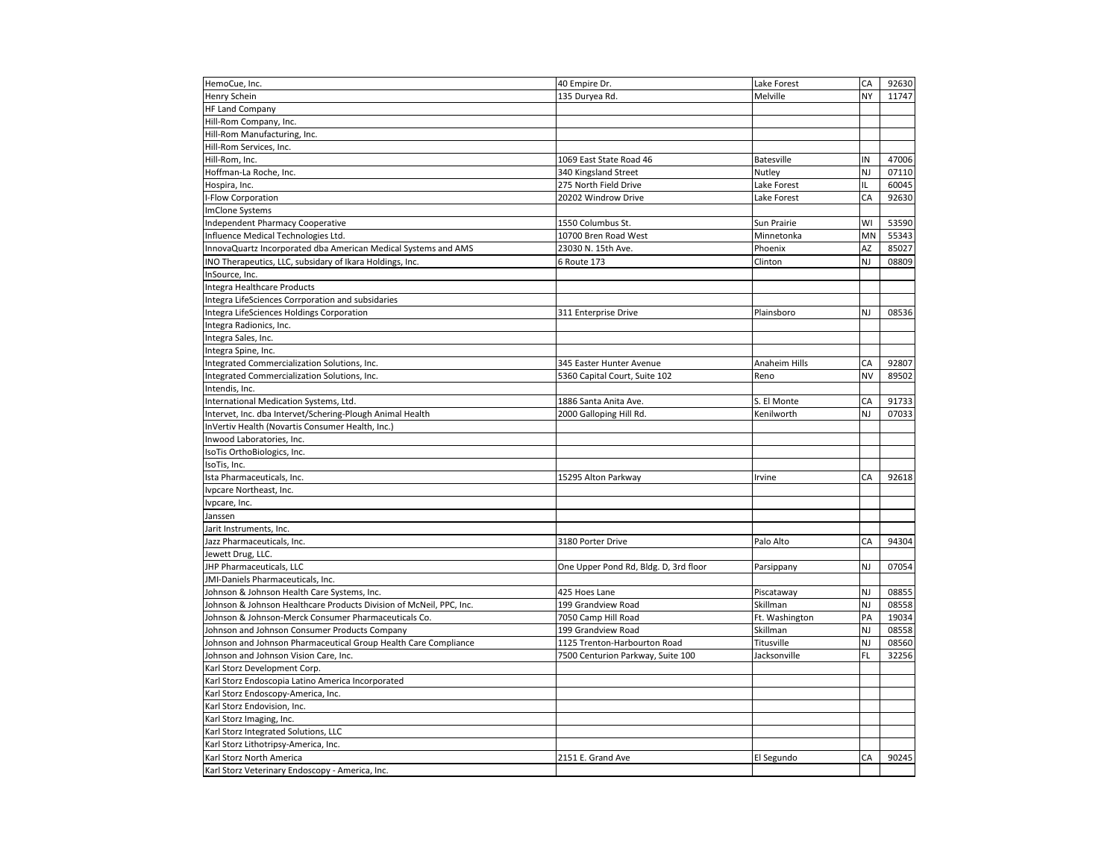| HemoCue, Inc.                                                       | 40 Empire Dr.                         | Lake Forest       | CA        | 92630 |
|---------------------------------------------------------------------|---------------------------------------|-------------------|-----------|-------|
| Henry Schein                                                        | 135 Duryea Rd.                        | Melville          | NY        | 11747 |
| <b>HF Land Company</b>                                              |                                       |                   |           |       |
| Hill-Rom Company, Inc.                                              |                                       |                   |           |       |
| Hill-Rom Manufacturing, Inc.                                        |                                       |                   |           |       |
| Hill-Rom Services, Inc.                                             |                                       |                   |           |       |
| Hill-Rom, Inc.                                                      | 1069 East State Road 46               | <b>Batesville</b> | IN        | 47006 |
| Hoffman-La Roche, Inc.                                              | 340 Kingsland Street                  | Nutley            | NJ        | 07110 |
| Hospira, Inc.                                                       | 275 North Field Drive                 | Lake Forest       | IL.       | 60045 |
| -Flow Corporation                                                   | 20202 Windrow Drive                   | Lake Forest       | CA        | 92630 |
| ImClone Systems                                                     |                                       |                   |           |       |
| <b>Independent Pharmacy Cooperative</b>                             | 1550 Columbus St.                     | Sun Prairie       | WI        | 53590 |
| Influence Medical Technologies Ltd.                                 | 10700 Bren Road West                  | Minnetonka        | MN        | 55343 |
| InnovaQuartz Incorporated dba American Medical Systems and AMS      | 23030 N. 15th Ave.                    | Phoenix           | AZ        | 85027 |
| INO Therapeutics, LLC, subsidary of Ikara Holdings, Inc.            | 6 Route 173                           | Clinton           | NJ        | 08809 |
| InSource, Inc.                                                      |                                       |                   |           |       |
| Integra Healthcare Products                                         |                                       |                   |           |       |
| Integra LifeSciences Corrporation and subsidaries                   |                                       |                   |           |       |
| Integra LifeSciences Holdings Corporation                           | 311 Enterprise Drive                  | Plainsboro        | NJ        | 08536 |
| Integra Radionics, Inc.                                             |                                       |                   |           |       |
| Integra Sales, Inc.                                                 |                                       |                   |           |       |
| Integra Spine, Inc.                                                 |                                       |                   |           |       |
| Integrated Commercialization Solutions, Inc.                        | 345 Easter Hunter Avenue              | Anaheim Hills     | CA        | 92807 |
| Integrated Commercialization Solutions, Inc.                        | 5360 Capital Court, Suite 102         | Reno              | <b>NV</b> | 89502 |
| Intendis, Inc.                                                      |                                       |                   |           |       |
| International Medication Systems, Ltd.                              | 1886 Santa Anita Ave.                 | S. El Monte       | CA        | 91733 |
| Intervet, Inc. dba Intervet/Schering-Plough Animal Health           | 2000 Galloping Hill Rd.               | Kenilworth        | NJ        | 07033 |
| InVertiv Health (Novartis Consumer Health, Inc.)                    |                                       |                   |           |       |
| Inwood Laboratories, Inc.                                           |                                       |                   |           |       |
| IsoTis OrthoBiologics, Inc.                                         |                                       |                   |           |       |
| IsoTis, Inc.                                                        |                                       |                   |           |       |
| Ista Pharmaceuticals, Inc.                                          | 15295 Alton Parkway                   | Irvine            | CA        | 92618 |
| Ivpcare Northeast, Inc.                                             |                                       |                   |           |       |
| Ivpcare, Inc.                                                       |                                       |                   |           |       |
| Janssen                                                             |                                       |                   |           |       |
| Jarit Instruments, Inc.                                             |                                       |                   |           |       |
| Jazz Pharmaceuticals, Inc.                                          | 3180 Porter Drive                     | Palo Alto         | CA        | 94304 |
| Jewett Drug, LLC.                                                   |                                       |                   |           |       |
| JHP Pharmaceuticals, LLC                                            | One Upper Pond Rd, Bldg. D, 3rd floor | Parsippany        | NJ        | 07054 |
| JMI-Daniels Pharmaceuticals, Inc.                                   |                                       |                   |           |       |
| Johnson & Johnson Health Care Systems, Inc.                         | 425 Hoes Lane                         | Piscataway        | NJ        | 08855 |
| Johnson & Johnson Healthcare Products Division of McNeil, PPC, Inc. | 199 Grandview Road                    | Skillman          | NJ        | 08558 |
| Johnson & Johnson-Merck Consumer Pharmaceuticals Co.                | 7050 Camp Hill Road                   | Ft. Washington    | PA        | 19034 |
| Johnson and Johnson Consumer Products Company                       | 199 Grandview Road                    | Skillman          | NJ        | 08558 |
| Johnson and Johnson Pharmaceutical Group Health Care Compliance     | 1125 Trenton-Harbourton Road          | Titusville        | NJ        | 08560 |
| Johnson and Johnson Vision Care, Inc.                               | 7500 Centurion Parkway, Suite 100     | Jacksonville      | FL        | 32256 |
| Karl Storz Development Corp.                                        |                                       |                   |           |       |
| Karl Storz Endoscopia Latino America Incorporated                   |                                       |                   |           |       |
| Karl Storz Endoscopy-America, Inc.                                  |                                       |                   |           |       |
| Karl Storz Endovision, Inc.                                         |                                       |                   |           |       |
| Karl Storz Imaging, Inc.                                            |                                       |                   |           |       |
| Karl Storz Integrated Solutions, LLC                                |                                       |                   |           |       |
| Karl Storz Lithotripsy-America, Inc.                                |                                       |                   |           |       |
| Karl Storz North America                                            | 2151 E. Grand Ave                     | El Segundo        | CA        | 90245 |
| Karl Storz Veterinary Endoscopy - America, Inc.                     |                                       |                   |           |       |
|                                                                     |                                       |                   |           |       |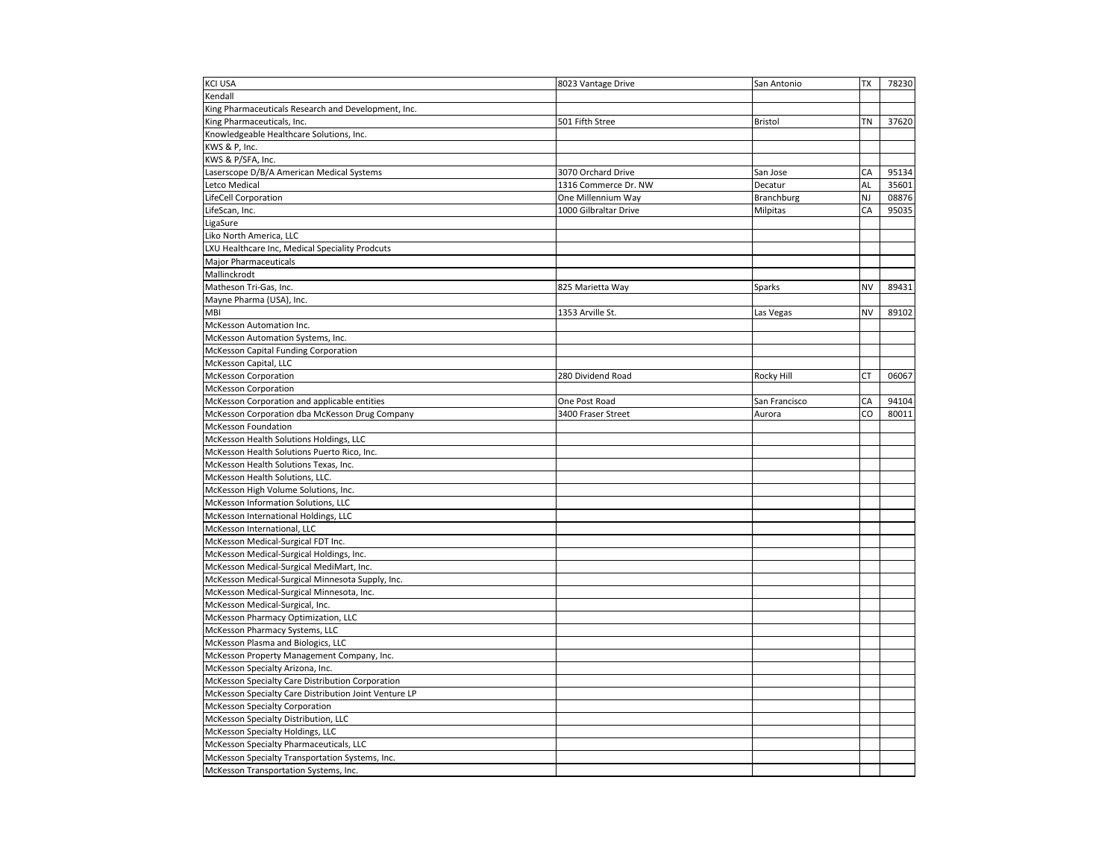| <b>KCI USA</b>                                                               | 8023 Vantage Drive    | San Antonio       | TX        | 78230 |
|------------------------------------------------------------------------------|-----------------------|-------------------|-----------|-------|
| Kendall                                                                      |                       |                   |           |       |
| King Pharmaceuticals Research and Development, Inc.                          |                       |                   |           |       |
| King Pharmaceuticals, Inc.                                                   | 501 Fifth Stree       | <b>Bristol</b>    | TN        | 37620 |
| Knowledgeable Healthcare Solutions, Inc.                                     |                       |                   |           |       |
| KWS & P, Inc.                                                                |                       |                   |           |       |
| KWS & P/SFA, Inc.                                                            |                       |                   |           |       |
| Laserscope D/B/A American Medical Systems                                    | 3070 Orchard Drive    | San Jose          | CA        | 95134 |
| Letco Medical                                                                | 1316 Commerce Dr. NW  | Decatur           | AL        | 35601 |
| LifeCell Corporation                                                         | One Millennium Way    | <b>Branchburg</b> | NJ        | 08876 |
| LifeScan, Inc.                                                               | 1000 Gilbraltar Drive | Milpitas          | CA        | 95035 |
| LigaSure                                                                     |                       |                   |           |       |
| Liko North America, LLC                                                      |                       |                   |           |       |
| LXU Healthcare Inc, Medical Speciality Prodcuts                              |                       |                   |           |       |
| <b>Major Pharmaceuticals</b>                                                 |                       |                   |           |       |
| Mallinckrodt                                                                 |                       |                   |           |       |
| Matheson Tri-Gas, Inc.                                                       | 825 Marietta Way      | Sparks            | NV        | 89431 |
| Mayne Pharma (USA), Inc.                                                     |                       |                   |           |       |
| <b>MBI</b>                                                                   | 1353 Arville St.      | Las Vegas         | <b>NV</b> | 89102 |
| McKesson Automation Inc.                                                     |                       |                   |           |       |
| McKesson Automation Systems, Inc.                                            |                       |                   |           |       |
| McKesson Capital Funding Corporation                                         |                       |                   |           |       |
| McKesson Capital, LLC                                                        |                       |                   |           |       |
| <b>McKesson Corporation</b>                                                  | 280 Dividend Road     | Rocky Hill        | СT        | 06067 |
| <b>McKesson Corporation</b>                                                  |                       |                   |           |       |
| McKesson Corporation and applicable entities                                 | One Post Road         | San Francisco     | CA        | 94104 |
|                                                                              | 3400 Fraser Street    | Aurora            | CO        | 80011 |
| McKesson Corporation dba McKesson Drug Company<br><b>McKesson Foundation</b> |                       |                   |           |       |
| McKesson Health Solutions Holdings, LLC                                      |                       |                   |           |       |
| McKesson Health Solutions Puerto Rico, Inc.                                  |                       |                   |           |       |
| McKesson Health Solutions Texas, Inc.                                        |                       |                   |           |       |
| McKesson Health Solutions, LLC.                                              |                       |                   |           |       |
|                                                                              |                       |                   |           |       |
| McKesson High Volume Solutions, Inc.                                         |                       |                   |           |       |
| McKesson Information Solutions, LLC                                          |                       |                   |           |       |
| McKesson International Holdings, LLC                                         |                       |                   |           |       |
| McKesson International, LLC                                                  |                       |                   |           |       |
| McKesson Medical-Surgical FDT Inc.                                           |                       |                   |           |       |
| McKesson Medical-Surgical Holdings, Inc.                                     |                       |                   |           |       |
| McKesson Medical-Surgical MediMart, Inc.                                     |                       |                   |           |       |
| McKesson Medical-Surgical Minnesota Supply, Inc.                             |                       |                   |           |       |
| McKesson Medical-Surgical Minnesota, Inc.                                    |                       |                   |           |       |
| McKesson Medical-Surgical, Inc.                                              |                       |                   |           |       |
| McKesson Pharmacy Optimization, LLC                                          |                       |                   |           |       |
| McKesson Pharmacy Systems, LLC                                               |                       |                   |           |       |
| McKesson Plasma and Biologics, LLC                                           |                       |                   |           |       |
| McKesson Property Management Company, Inc.                                   |                       |                   |           |       |
| McKesson Specialty Arizona, Inc.                                             |                       |                   |           |       |
| McKesson Specialty Care Distribution Corporation                             |                       |                   |           |       |
| McKesson Specialty Care Distribution Joint Venture LP                        |                       |                   |           |       |
| <b>McKesson Specialty Corporation</b>                                        |                       |                   |           |       |
| McKesson Specialty Distribution, LLC                                         |                       |                   |           |       |
| McKesson Specialty Holdings, LLC                                             |                       |                   |           |       |
| McKesson Specialty Pharmaceuticals, LLC                                      |                       |                   |           |       |
| McKesson Specialty Transportation Systems, Inc.                              |                       |                   |           |       |
| McKesson Transportation Systems, Inc.                                        |                       |                   |           |       |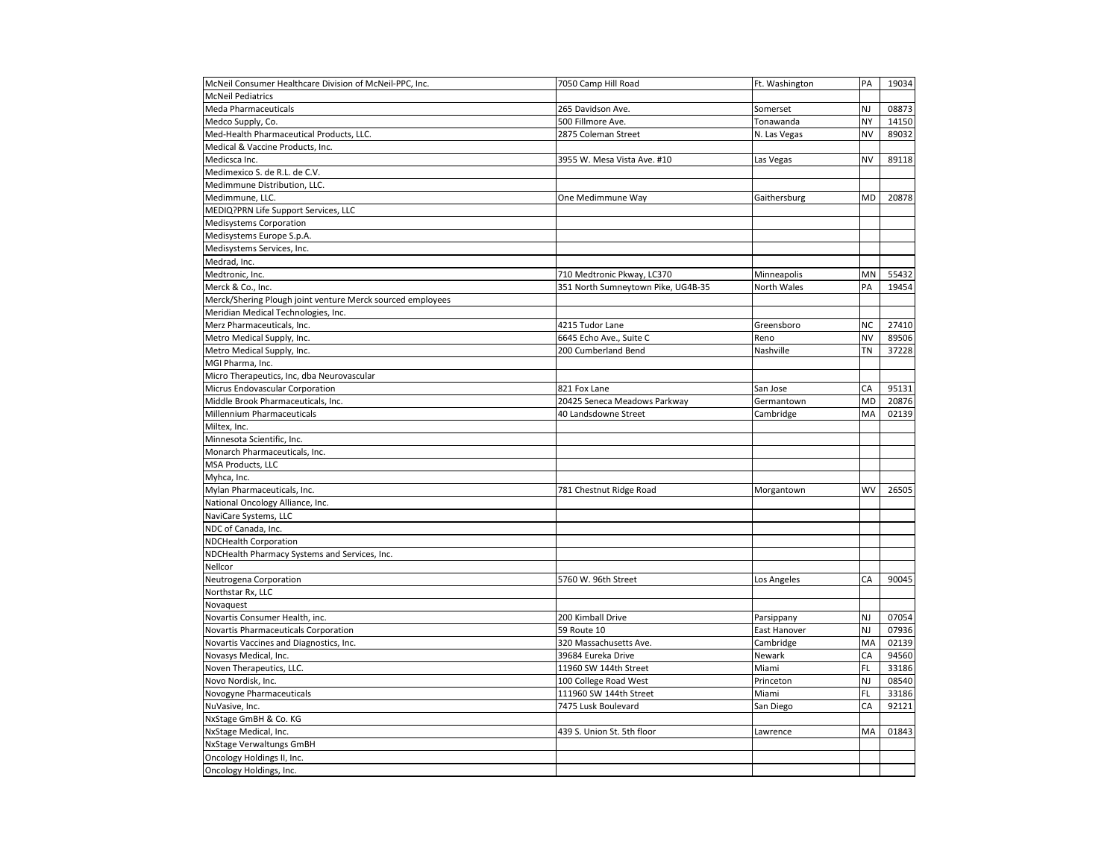| McNeil Consumer Healthcare Division of McNeil-PPC, Inc.    | 7050 Camp Hill Road                | Ft. Washington | PA        | 19034 |
|------------------------------------------------------------|------------------------------------|----------------|-----------|-------|
| <b>McNeil Pediatrics</b>                                   |                                    |                |           |       |
| <b>Meda Pharmaceuticals</b>                                | 265 Davidson Ave.                  | Somerset       | NJ        | 08873 |
| Medco Supply, Co.                                          | 500 Fillmore Ave.                  | Tonawanda      | NY        | 14150 |
| Med-Health Pharmaceutical Products, LLC.                   | 2875 Coleman Street                | N. Las Vegas   | <b>NV</b> | 89032 |
| Medical & Vaccine Products, Inc.                           |                                    |                |           |       |
| Medicsca Inc.                                              | 3955 W. Mesa Vista Ave. #10        | Las Vegas      | <b>NV</b> | 89118 |
| Medimexico S. de R.L. de C.V.                              |                                    |                |           |       |
| Medimmune Distribution, LLC.                               |                                    |                |           |       |
| Medimmune, LLC.                                            | One Medimmune Way                  | Gaithersburg   | MD        | 20878 |
| MEDIQ?PRN Life Support Services, LLC                       |                                    |                |           |       |
| <b>Medisystems Corporation</b>                             |                                    |                |           |       |
| Medisystems Europe S.p.A.                                  |                                    |                |           |       |
| Medisystems Services, Inc.                                 |                                    |                |           |       |
| Medrad, Inc.                                               |                                    |                |           |       |
| Medtronic, Inc.                                            | 710 Medtronic Pkway, LC370         | Minneapolis    | MN        | 55432 |
| Merck & Co., Inc.                                          | 351 North Sumneytown Pike, UG4B-35 | North Wales    | PA        | 19454 |
| Merck/Shering Plough joint venture Merck sourced employees |                                    |                |           |       |
| Meridian Medical Technologies, Inc.                        |                                    |                |           |       |
| Merz Pharmaceuticals, Inc.                                 | 4215 Tudor Lane                    | Greensboro     | <b>NC</b> | 27410 |
| Metro Medical Supply, Inc.                                 | 6645 Echo Ave., Suite C            | Reno           | <b>NV</b> | 89506 |
| Metro Medical Supply, Inc.                                 | 200 Cumberland Bend                | Nashville      | ΤN        | 37228 |
| MGI Pharma, Inc.                                           |                                    |                |           |       |
| Micro Therapeutics, Inc, dba Neurovascular                 |                                    |                |           |       |
| Micrus Endovascular Corporation                            | 821 Fox Lane                       | San Jose       | CA        | 95131 |
| Middle Brook Pharmaceuticals, Inc.                         | 20425 Seneca Meadows Parkway       | Germantown     | <b>MD</b> | 20876 |
|                                                            |                                    |                | MA        | 02139 |
| Millennium Pharmaceuticals<br>Miltex, Inc.                 | 40 Landsdowne Street               | Cambridge      |           |       |
| Minnesota Scientific, Inc.                                 |                                    |                |           |       |
|                                                            |                                    |                |           |       |
| Monarch Pharmaceuticals, Inc.                              |                                    |                |           |       |
| MSA Products, LLC                                          |                                    |                |           |       |
| Myhca, Inc.                                                |                                    |                |           |       |
| Mylan Pharmaceuticals, Inc.                                | 781 Chestnut Ridge Road            | Morgantown     | <b>WV</b> | 26505 |
| National Oncology Alliance, Inc.                           |                                    |                |           |       |
| NaviCare Systems, LLC                                      |                                    |                |           |       |
| NDC of Canada, Inc.                                        |                                    |                |           |       |
| NDCHealth Corporation                                      |                                    |                |           |       |
| NDCHealth Pharmacy Systems and Services, Inc.              |                                    |                |           |       |
| Nellcor                                                    |                                    |                |           |       |
| Neutrogena Corporation                                     | 5760 W. 96th Street                | Los Angeles    | CA        | 90045 |
| Northstar Rx, LLC                                          |                                    |                |           |       |
| Novaquest                                                  |                                    |                |           |       |
| Novartis Consumer Health, inc.                             | 200 Kimball Drive                  | Parsippany     | NJ        | 07054 |
| Novartis Pharmaceuticals Corporation                       | 59 Route 10                        | East Hanover   | NJ        | 07936 |
| Novartis Vaccines and Diagnostics, Inc.                    | 320 Massachusetts Ave.             | Cambridge      | MA        | 02139 |
| Novasys Medical, Inc.                                      | 39684 Eureka Drive                 | Newark         | CA        | 94560 |
| Noven Therapeutics, LLC.                                   | 11960 SW 144th Street              | Miami          | FL        | 33186 |
| Novo Nordisk, Inc.                                         | 100 College Road West              | Princeton      | NJ        | 08540 |
| Novogyne Pharmaceuticals                                   | 111960 SW 144th Street             | Miami          | FL        | 33186 |
| NuVasive, Inc.                                             | 7475 Lusk Boulevard                | San Diego      | CA        | 92121 |
| NxStage GmBH & Co. KG                                      |                                    |                |           |       |
| NxStage Medical, Inc.                                      | 439 S. Union St. 5th floor         | Lawrence       | MA        | 01843 |
| NxStage Verwaltungs GmBH                                   |                                    |                |           |       |
| Oncology Holdings II, Inc.                                 |                                    |                |           |       |
| Oncology Holdings, Inc.                                    |                                    |                |           |       |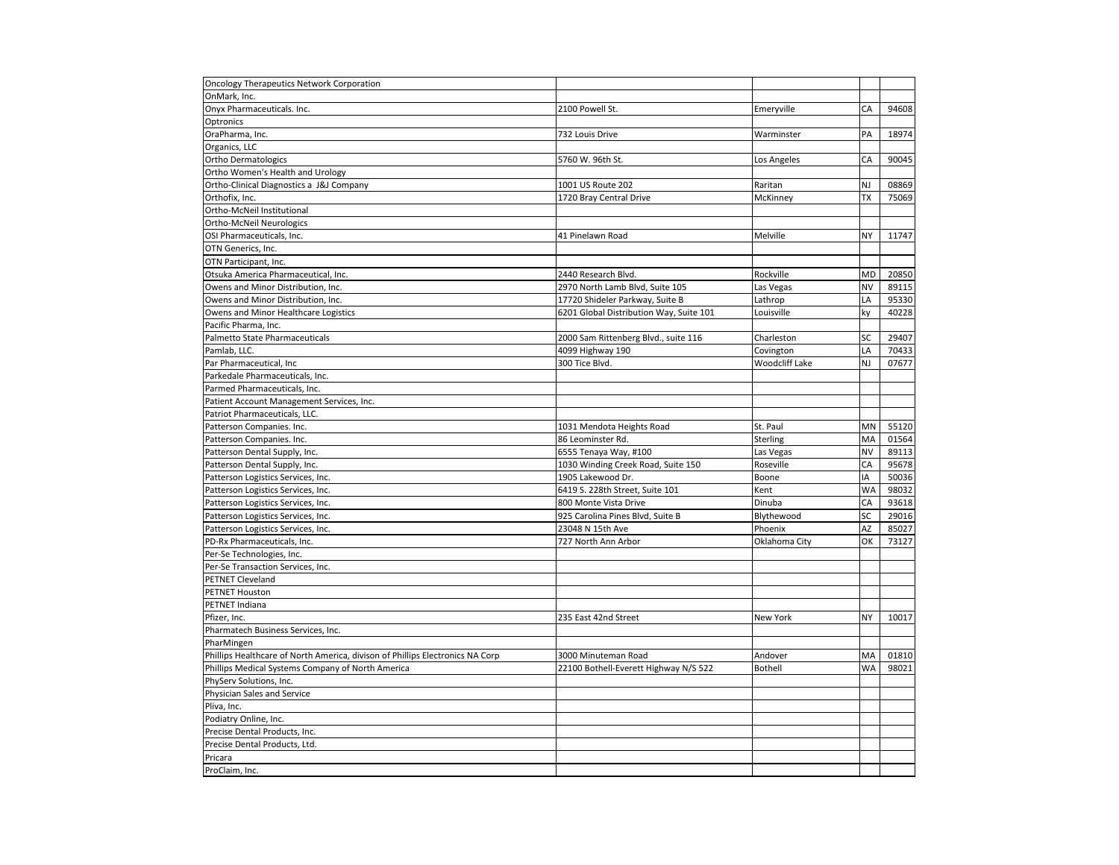| <b>Oncology Therapeutics Network Corporation</b>                              |                                         |                |                          |       |
|-------------------------------------------------------------------------------|-----------------------------------------|----------------|--------------------------|-------|
| OnMark, Inc.                                                                  |                                         |                |                          |       |
| Onyx Pharmaceuticals. Inc.                                                    | 2100 Powell St.                         | Emeryville     | CA                       | 94608 |
| Optronics                                                                     |                                         |                |                          |       |
| OraPharma, Inc.                                                               | 732 Louis Drive                         | Warminster     | PA                       | 18974 |
| Organics, LLC                                                                 |                                         |                |                          |       |
| <b>Ortho Dermatologics</b>                                                    | 5760 W. 96th St.                        | Los Angeles    | CA                       | 90045 |
| Ortho Women's Health and Urology                                              |                                         |                |                          |       |
| Ortho-Clinical Diagnostics a J&J Company                                      | 1001 US Route 202                       | Raritan        | NJ                       | 08869 |
| Orthofix, Inc.                                                                | 1720 Bray Central Drive                 | McKinney       | <b>TX</b>                | 75069 |
| Ortho-McNeil Institutional                                                    |                                         |                |                          |       |
| Ortho-McNeil Neurologics                                                      |                                         |                |                          |       |
| OSI Pharmaceuticals, Inc.                                                     | 41 Pinelawn Road                        | Melville       | <b>NY</b>                | 11747 |
| OTN Generics, Inc.                                                            |                                         |                |                          |       |
| OTN Participant, Inc.                                                         |                                         |                |                          |       |
| Otsuka America Pharmaceutical, Inc.                                           | 2440 Research Blvd.                     | Rockville      | <b>MD</b>                | 20850 |
| Owens and Minor Distribution, Inc.                                            | 2970 North Lamb Blvd, Suite 105         | Las Vegas      | NV                       | 89115 |
|                                                                               | 17720 Shideler Parkway, Suite B         |                | $\overline{\mathsf{LA}}$ | 95330 |
| Owens and Minor Distribution, Inc.                                            |                                         | Lathrop        |                          | 40228 |
| Owens and Minor Healthcare Logistics                                          | 6201 Global Distribution Way, Suite 101 | Louisville     | ky                       |       |
| Pacific Pharma, Inc.                                                          |                                         |                |                          |       |
| Palmetto State Pharmaceuticals                                                | 2000 Sam Rittenberg Blvd., suite 116    | Charleston     | SC                       | 29407 |
| Pamlab, LLC.                                                                  | 4099 Highway 190                        | Covington      | LA                       | 70433 |
| Par Pharmaceutical, Inc.                                                      | 300 Tice Blvd.                          | Woodcliff Lake | NJ                       | 07677 |
| Parkedale Pharmaceuticals, Inc.                                               |                                         |                |                          |       |
| Parmed Pharmaceuticals, Inc.                                                  |                                         |                |                          |       |
| Patient Account Management Services, Inc.                                     |                                         |                |                          |       |
| Patriot Pharmaceuticals, LLC.                                                 |                                         |                |                          |       |
| Patterson Companies. Inc.                                                     | 1031 Mendota Heights Road               | St. Paul       | MN                       | 55120 |
| Patterson Companies. Inc.                                                     | 86 Leominster Rd.                       | Sterling       | MA                       | 01564 |
| Patterson Dental Supply, Inc.                                                 | 6555 Tenaya Way, #100                   | Las Vegas      | <b>NV</b>                | 89113 |
| Patterson Dental Supply, Inc.                                                 | 1030 Winding Creek Road, Suite 150      | Roseville      | CA                       | 95678 |
| Patterson Logistics Services, Inc.                                            | 1905 Lakewood Dr.                       | Boone          | IA                       | 50036 |
| Patterson Logistics Services, Inc.                                            | 6419 S. 228th Street, Suite 101         | Kent           | <b>WA</b>                | 98032 |
| Patterson Logistics Services, Inc.                                            | 800 Monte Vista Drive                   | Dinuba         | CA                       | 93618 |
| Patterson Logistics Services, Inc.                                            | 925 Carolina Pines Blvd, Suite B        | Blythewood     | <b>SC</b>                | 29016 |
| Patterson Logistics Services, Inc.                                            | 23048 N 15th Ave                        | Phoenix        | AZ                       | 85027 |
| PD-Rx Pharmaceuticals, Inc.                                                   | 727 North Ann Arbor                     | Oklahoma City  | OK                       | 73127 |
| Per-Se Technologies, Inc.                                                     |                                         |                |                          |       |
| Per-Se Transaction Services, Inc.                                             |                                         |                |                          |       |
| PETNET Cleveland                                                              |                                         |                |                          |       |
| <b>PETNET Houston</b>                                                         |                                         |                |                          |       |
| PETNET Indiana                                                                |                                         |                |                          |       |
| Pfizer, Inc.                                                                  | 235 East 42nd Street                    | New York       | <b>NY</b>                | 10017 |
| Pharmatech Business Services, Inc.                                            |                                         |                |                          |       |
| PharMingen                                                                    |                                         |                |                          |       |
| Phillips Healthcare of North America, divison of Phillips Electronics NA Corp | 3000 Minuteman Road                     | Andover        | MA                       | 01810 |
| Phillips Medical Systems Company of North America                             | 22100 Bothell-Everett Highway N/S 522   | <b>Bothell</b> | <b>WA</b>                | 98021 |
| PhyServ Solutions, Inc.                                                       |                                         |                |                          |       |
| Physician Sales and Service                                                   |                                         |                |                          |       |
| Pliva, Inc.                                                                   |                                         |                |                          |       |
| Podiatry Online, Inc.                                                         |                                         |                |                          |       |
| Precise Dental Products, Inc.                                                 |                                         |                |                          |       |
| Precise Dental Products, Ltd.                                                 |                                         |                |                          |       |
| Pricara                                                                       |                                         |                |                          |       |
|                                                                               |                                         |                |                          |       |
| ProClaim, Inc.                                                                |                                         |                |                          |       |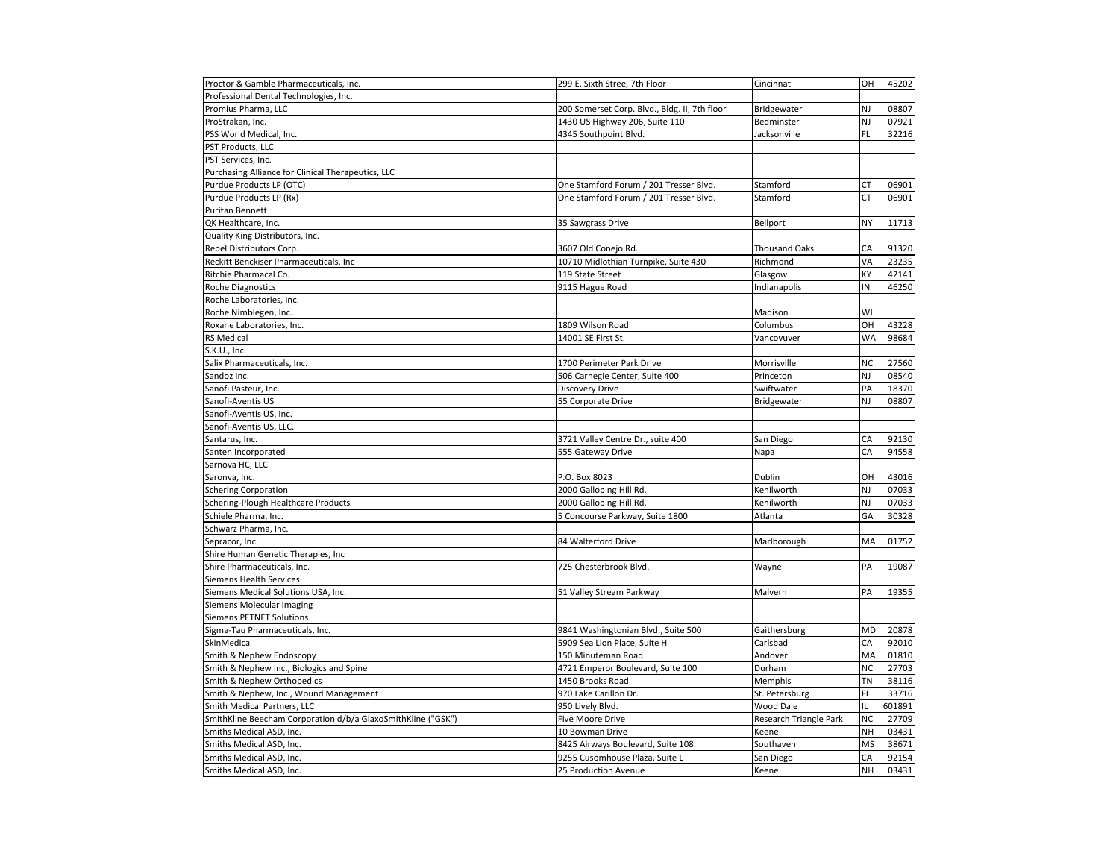| Proctor & Gamble Pharmaceuticals, Inc.                       | 299 E. Sixth Stree, 7th Floor                 | Cincinnati             | OH        | 45202  |
|--------------------------------------------------------------|-----------------------------------------------|------------------------|-----------|--------|
| Professional Dental Technologies, Inc.                       |                                               |                        |           |        |
| Promius Pharma, LLC                                          | 200 Somerset Corp. Blvd., Bldg. II, 7th floor | Bridgewater            | NJ        | 08807  |
| ProStrakan, Inc.                                             | 1430 US Highway 206, Suite 110                | Bedminster             | NJ        | 07921  |
| PSS World Medical, Inc.                                      | 4345 Southpoint Blvd.                         | Jacksonville           | FL        | 32216  |
| PST Products, LLC                                            |                                               |                        |           |        |
| PST Services, Inc.                                           |                                               |                        |           |        |
| Purchasing Alliance for Clinical Therapeutics, LLC           |                                               |                        |           |        |
| Purdue Products LP (OTC)                                     | One Stamford Forum / 201 Tresser Blvd.        | Stamford               | СT        | 06901  |
| Purdue Products LP (Rx)                                      | One Stamford Forum / 201 Tresser Blvd.        | Stamford               | СT        | 06901  |
| <b>Puritan Bennett</b>                                       |                                               |                        |           |        |
| QK Healthcare, Inc.                                          | 35 Sawgrass Drive                             | Bellport               | <b>NY</b> | 11713  |
| Quality King Distributors, Inc.                              |                                               |                        |           |        |
| Rebel Distributors Corp.                                     | 3607 Old Conejo Rd.                           | <b>Thousand Oaks</b>   | CA        | 91320  |
| Reckitt Benckiser Pharmaceuticals, Inc                       | 10710 Midlothian Turnpike, Suite 430          | Richmond               | VA        | 23235  |
| Ritchie Pharmacal Co.                                        | 119 State Street                              | Glasgow                | KY        | 42141  |
| <b>Roche Diagnostics</b>                                     | 9115 Hague Road                               | Indianapolis           | IN        | 46250  |
| Roche Laboratories, Inc.                                     |                                               |                        |           |        |
| Roche Nimblegen, Inc.                                        |                                               | Madison                | WI        |        |
| Roxane Laboratories, Inc.                                    | 1809 Wilson Road                              | Columbus               | OH        | 43228  |
| <b>RS Medical</b>                                            | 14001 SE First St.                            | Vancovuver             | <b>WA</b> | 98684  |
| S.K.U., Inc.                                                 |                                               |                        |           |        |
| Salix Pharmaceuticals, Inc.                                  | 1700 Perimeter Park Drive                     | Morrisville            | <b>NC</b> | 27560  |
| Sandoz Inc.                                                  | 506 Carnegie Center, Suite 400                | Princeton              | NJ        | 08540  |
| Sanofi Pasteur, Inc.                                         | Discovery Drive                               | Swiftwater             | PA        | 18370  |
| Sanofi-Aventis US                                            | 55 Corporate Drive                            | Bridgewater            | NJ        | 08807  |
| Sanofi-Aventis US, Inc.                                      |                                               |                        |           |        |
| Sanofi-Aventis US, LLC.                                      |                                               |                        |           |        |
|                                                              |                                               |                        |           | 92130  |
| Santarus, Inc.                                               | 3721 Valley Centre Dr., suite 400             | San Diego              | CA        |        |
| Santen Incorporated                                          | 555 Gateway Drive                             | Napa                   | CA        | 94558  |
| Sarnova HC, LLC                                              |                                               |                        |           |        |
| Saronva, Inc.                                                | P.O. Box 8023                                 | Dublin                 | OH        | 43016  |
| <b>Schering Corporation</b>                                  | 2000 Galloping Hill Rd.                       | Kenilworth             | NJ        | 07033  |
| Schering-Plough Healthcare Products                          | 2000 Galloping Hill Rd.                       | Kenilworth             | NJ        | 07033  |
| Schiele Pharma, Inc.                                         | 5 Concourse Parkway, Suite 1800               | Atlanta                | GA        | 30328  |
| Schwarz Pharma, Inc.                                         |                                               |                        |           |        |
| Sepracor, Inc.                                               | 84 Walterford Drive                           | Marlborough            | MA        | 01752  |
| Shire Human Genetic Therapies, Inc                           |                                               |                        |           |        |
| Shire Pharmaceuticals, Inc.                                  | 725 Chesterbrook Blvd.                        | Wayne                  | PA        | 19087  |
| Siemens Health Services                                      |                                               |                        |           |        |
| Siemens Medical Solutions USA, Inc.                          | 51 Valley Stream Parkway                      | Malvern                | PA        | 19355  |
| Siemens Molecular Imaging                                    |                                               |                        |           |        |
| <b>Siemens PETNET Solutions</b>                              |                                               |                        |           |        |
| Sigma-Tau Pharmaceuticals, Inc.                              | 9841 Washingtonian Blvd., Suite 500           | Gaithersburg           | <b>MD</b> | 20878  |
| SkinMedica                                                   | 5909 Sea Lion Place, Suite H                  | Carlsbad               | CA        | 92010  |
| Smith & Nephew Endoscopy                                     | 150 Minuteman Road                            | Andover                | MA        | 01810  |
| Smith & Nephew Inc., Biologics and Spine                     | 4721 Emperor Boulevard, Suite 100             | Durham                 | <b>NC</b> | 27703  |
| Smith & Nephew Orthopedics                                   | 1450 Brooks Road                              | Memphis                | TN        | 38116  |
| Smith & Nephew, Inc., Wound Management                       | 970 Lake Carillon Dr.                         | St. Petersburg         | FL.       | 33716  |
| Smith Medical Partners, LLC                                  | 950 Lively Blvd.                              | Wood Dale              | IL.       | 601891 |
| SmithKline Beecham Corporation d/b/a GlaxoSmithKline ("GSK") | <b>Five Moore Drive</b>                       | Research Triangle Park | <b>NC</b> | 27709  |
| Smiths Medical ASD, Inc.                                     | 10 Bowman Drive                               | Keene                  | <b>NH</b> | 03431  |
| Smiths Medical ASD, Inc.                                     | 8425 Airways Boulevard, Suite 108             | Southaven              | <b>MS</b> | 38671  |
| Smiths Medical ASD, Inc.                                     | 9255 Cusomhouse Plaza, Suite L                | San Diego              | CA        | 92154  |
| Smiths Medical ASD, Inc.                                     | 25 Production Avenue                          | Keene                  | <b>NH</b> | 03431  |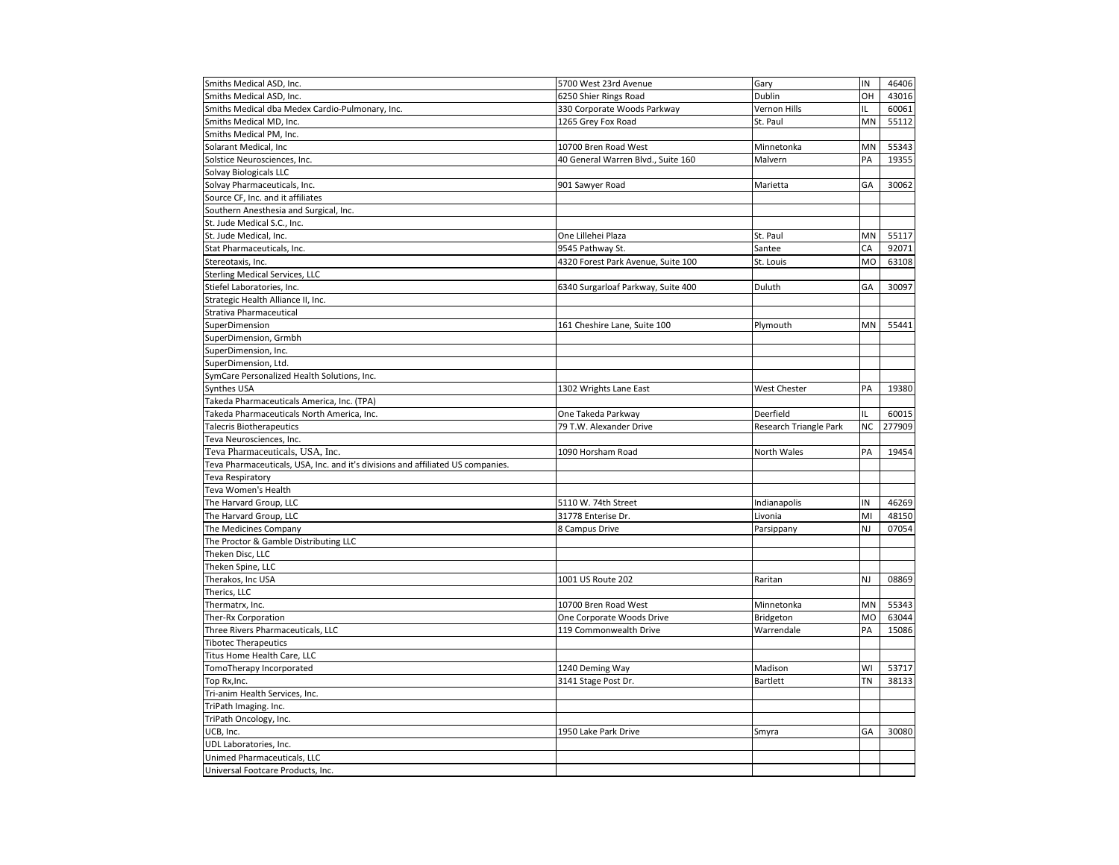| Smiths Medical ASD, Inc.                                                        | 5700 West 23rd Avenue              | Gary                   | IN        | 46406  |
|---------------------------------------------------------------------------------|------------------------------------|------------------------|-----------|--------|
| Smiths Medical ASD, Inc.                                                        | 6250 Shier Rings Road              | Dublin                 | OH        | 43016  |
| Smiths Medical dba Medex Cardio-Pulmonary, Inc.                                 | 330 Corporate Woods Parkway        | Vernon Hills           | IL        | 60061  |
| Smiths Medical MD, Inc.                                                         | 1265 Grey Fox Road                 | St. Paul               | <b>MN</b> | 55112  |
| Smiths Medical PM, Inc.                                                         |                                    |                        |           |        |
| Solarant Medical, Inc                                                           | 10700 Bren Road West               | Minnetonka             | MN        | 55343  |
| Solstice Neurosciences, Inc.                                                    | 40 General Warren Blvd., Suite 160 | Malvern                | PA        | 19355  |
| Solvay Biologicals LLC                                                          |                                    |                        |           |        |
| Solvay Pharmaceuticals, Inc.                                                    | 901 Sawyer Road                    | Marietta               | GA        | 30062  |
| Source CF, Inc. and it affiliates                                               |                                    |                        |           |        |
| Southern Anesthesia and Surgical, Inc.                                          |                                    |                        |           |        |
| St. Jude Medical S.C., Inc.                                                     |                                    |                        |           |        |
| St. Jude Medical, Inc.                                                          | One Lillehei Plaza                 | St. Paul               | MN        | 55117  |
| Stat Pharmaceuticals, Inc.                                                      | 9545 Pathway St.                   | Santee                 | CA        | 92071  |
| Stereotaxis, Inc.                                                               | 4320 Forest Park Avenue, Suite 100 | St. Louis              | <b>MO</b> | 63108  |
| <b>Sterling Medical Services, LLC</b>                                           |                                    |                        |           |        |
| Stiefel Laboratories, Inc.                                                      | 6340 Surgarloaf Parkway, Suite 400 | Duluth                 | GA        | 30097  |
| Strategic Health Alliance II, Inc.                                              |                                    |                        |           |        |
| Strativa Pharmaceutical                                                         |                                    |                        |           |        |
| SuperDimension                                                                  | 161 Cheshire Lane, Suite 100       | Plymouth               | MN        | 55441  |
| SuperDimension, Grmbh                                                           |                                    |                        |           |        |
| SuperDimension, Inc.                                                            |                                    |                        |           |        |
| SuperDimension, Ltd.                                                            |                                    |                        |           |        |
|                                                                                 |                                    |                        |           |        |
| SymCare Personalized Health Solutions, Inc.                                     |                                    |                        | PA        |        |
| Synthes USA                                                                     | 1302 Wrights Lane East             | <b>West Chester</b>    |           | 19380  |
| Takeda Pharmaceuticals America, Inc. (TPA)                                      |                                    |                        |           |        |
| Takeda Pharmaceuticals North America, Inc.                                      | One Takeda Parkway                 | Deerfield              | IL        | 60015  |
| <b>Talecris Biotherapeutics</b>                                                 | 79 T.W. Alexander Drive            | Research Triangle Park | <b>NC</b> | 277909 |
| Teva Neurosciences, Inc.                                                        |                                    |                        |           |        |
| Teva Pharmaceuticals, USA, Inc.                                                 | 1090 Horsham Road                  | North Wales            | PA        | 19454  |
| Teva Pharmaceuticals, USA, Inc. and it's divisions and affiliated US companies. |                                    |                        |           |        |
| Teva Respiratory                                                                |                                    |                        |           |        |
| Teva Women's Health                                                             |                                    |                        |           |        |
| The Harvard Group, LLC                                                          | 5110 W. 74th Street                | Indianapolis           | IN        | 46269  |
| The Harvard Group, LLC                                                          | 31778 Enterise Dr.                 | Livonia                | MI        | 48150  |
| The Medicines Company                                                           | 8 Campus Drive                     | Parsippany             | NJ        | 07054  |
| The Proctor & Gamble Distributing LLC                                           |                                    |                        |           |        |
| Theken Disc, LLC                                                                |                                    |                        |           |        |
| Theken Spine, LLC                                                               |                                    |                        |           |        |
| Therakos, Inc USA                                                               | 1001 US Route 202                  | Raritan                | NJ        | 08869  |
| Therics, LLC                                                                    |                                    |                        |           |        |
| Thermatrx, Inc.                                                                 | 10700 Bren Road West               | Minnetonka             | MN        | 55343  |
| Ther-Rx Corporation                                                             | One Corporate Woods Drive          | Bridgeton              | <b>MO</b> | 63044  |
| Three Rivers Pharmaceuticals, LLC                                               | 119 Commonwealth Drive             | Warrendale             | PA        | 15086  |
| <b>Tibotec Therapeutics</b>                                                     |                                    |                        |           |        |
| Titus Home Health Care, LLC                                                     |                                    |                        |           |        |
| TomoTherapy Incorporated                                                        | 1240 Deming Way                    | Madison                | WI        | 53717  |
| Top Rx, Inc.                                                                    | 3141 Stage Post Dr.                | <b>Bartlett</b>        | ΤN        | 38133  |
| Tri-anim Health Services, Inc.                                                  |                                    |                        |           |        |
| TriPath Imaging. Inc.                                                           |                                    |                        |           |        |
| TriPath Oncology, Inc.                                                          |                                    |                        |           |        |
| UCB, Inc.                                                                       | 1950 Lake Park Drive               | Smyra                  | GA        | 30080  |
| UDL Laboratories, Inc.                                                          |                                    |                        |           |        |
| Unimed Pharmaceuticals, LLC                                                     |                                    |                        |           |        |
| Universal Footcare Products, Inc.                                               |                                    |                        |           |        |